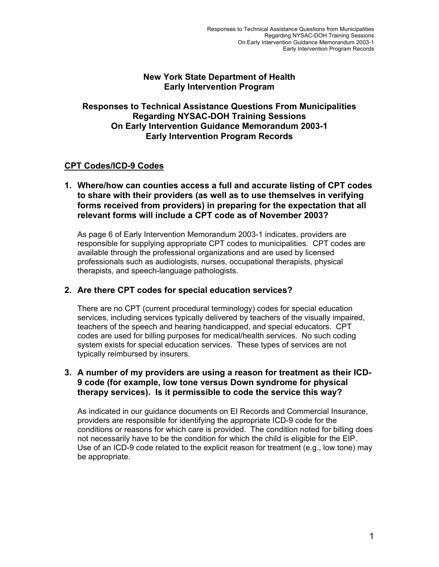## **New York State Department of Health Early Intervention Program**

## **Responses to Technical Assistance Questions From Municipalities Regarding NYSAC-DOH Training Sessions On Early Intervention Guidance Memorandum 2003-1 Early Intervention Program Records**

# **CPT Codes/ICD-9 Codes**

#### **1. Where/how can counties access a full and accurate listing of CPT codes to share with their providers (as well as to use themselves in verifying forms received from providers) in preparing for the expectation that all relevant forms will include a CPT code as of November 2003?**

As page 6 of Early Intervention Memorandum 2003-1 indicates, providers are responsible for supplying appropriate CPT codes to municipalities. CPT codes are available through the professional organizations and are used by licensed professionals such as audiologists, nurses, occupational therapists, physical therapists, and speech-language pathologists.

## **2. Are there CPT codes for special education services?**

There are no CPT (current procedural terminology) codes for special education services, including services typically delivered by teachers of the visually impaired, teachers of the speech and hearing handicapped, and special educators. CPT codes are used for billing purposes for medical/health services. No such coding system exists for special education services. These types of services are not typically reimbursed by insurers.

#### **3. A number of my providers are using a reason for treatment as their ICD-9 code (for example, low tone versus Down syndrome for physical therapy services). Is it permissible to code the service this way?**

As indicated in our guidance documents on EI Records and Commercial Insurance, providers are responsible for identifying the appropriate ICD-9 code for the conditions or reasons for which care is provided. The condition noted for billing does not necessarily have to be the condition for which the child is eligible for the EIP. Use of an ICD-9 code related to the explicit reason for treatment (e.g., low tone) may be appropriate.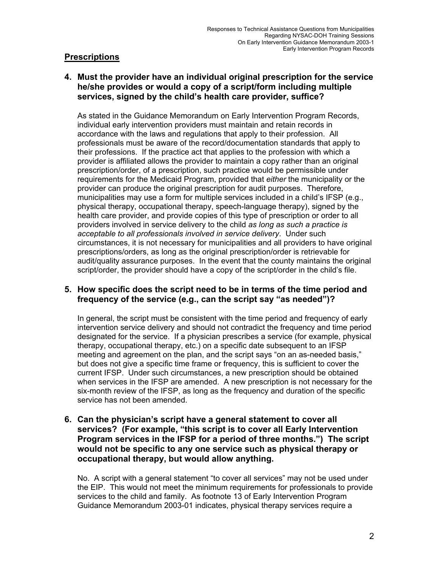# **Prescriptions**

**4. Must the provider have an individual original prescription for the service he/she provides or would a copy of a script/form including multiple services, signed by the child's health care provider, suffice?** 

As stated in the Guidance Memorandum on Early Intervention Program Records, individual early intervention providers must maintain and retain records in accordance with the laws and regulations that apply to their profession. All professionals must be aware of the record/documentation standards that apply to their professions. If the practice act that applies to the profession with which a provider is affiliated allows the provider to maintain a copy rather than an original prescription/order, of a prescription, such practice would be permissible under requirements for the Medicaid Program, provided that *either* the municipality or the provider can produce the original prescription for audit purposes. Therefore, municipalities may use a form for multiple services included in a child's IFSP (e.g., physical therapy, occupational therapy, speech-language therapy), signed by the health care provider, and provide copies of this type of prescription or order to all providers involved in service delivery to the child *as long as such a practice is acceptable to all professionals involved in service delivery*. Under such circumstances, it is not necessary for municipalities and all providers to have original prescriptions/orders, as long as the original prescription/order is retrievable for audit/quality assurance purposes. In the event that the county maintains the original script/order, the provider should have a copy of the script/order in the child's file.

## **5. How specific does the script need to be in terms of the time period and frequency of the service (e.g., can the script say "as needed")?**

In general, the script must be consistent with the time period and frequency of early intervention service delivery and should not contradict the frequency and time period designated for the service. If a physician prescribes a service (for example, physical therapy, occupational therapy, etc.) on a specific date subsequent to an IFSP meeting and agreement on the plan, and the script says "on an as-needed basis," but does not give a specific time frame or frequency, this is sufficient to cover the current IFSP. Under such circumstances, a new prescription should be obtained when services in the IFSP are amended. A new prescription is not necessary for the six-month review of the IFSP, as long as the frequency and duration of the specific service has not been amended.

#### **6. Can the physician's script have a general statement to cover all services? (For example, "this script is to cover all Early Intervention Program services in the IFSP for a period of three months.") The script would not be specific to any one service such as physical therapy or occupational therapy, but would allow anything.**

No. A script with a general statement "to cover all services" may not be used under the EIP. This would not meet the minimum requirements for professionals to provide services to the child and family. As footnote 13 of Early Intervention Program Guidance Memorandum 2003-01 indicates, physical therapy services require a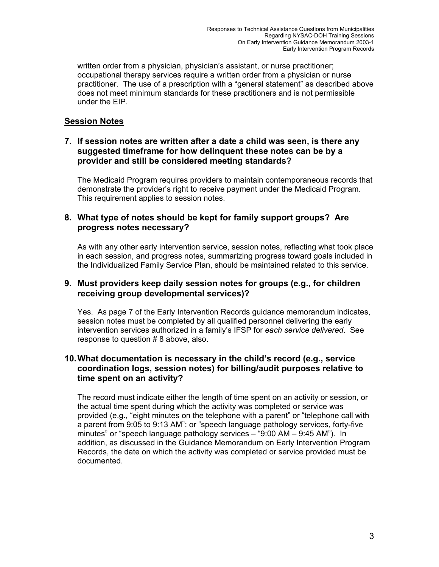written order from a physician, physician's assistant, or nurse practitioner; occupational therapy services require a written order from a physician or nurse practitioner. The use of a prescription with a "general statement" as described above does not meet minimum standards for these practitioners and is not permissible under the EIP.

## **Session Notes**

#### **7. If session notes are written after a date a child was seen, is there any suggested timeframe for how delinquent these notes can be by a provider and still be considered meeting standards?**

The Medicaid Program requires providers to maintain contemporaneous records that demonstrate the provider's right to receive payment under the Medicaid Program. This requirement applies to session notes.

## **8. What type of notes should be kept for family support groups? Are progress notes necessary?**

As with any other early intervention service, session notes, reflecting what took place in each session, and progress notes, summarizing progress toward goals included in the Individualized Family Service Plan, should be maintained related to this service.

#### **9. Must providers keep daily session notes for groups (e.g., for children receiving group developmental services)?**

Yes. As page 7 of the Early Intervention Records guidance memorandum indicates, session notes must be completed by all qualified personnel delivering the early intervention services authorized in a family's IFSP for *each service delivered*. See response to question # 8 above, also.

## **10. What documentation is necessary in the child's record (e.g., service coordination logs, session notes) for billing/audit purposes relative to time spent on an activity?**

The record must indicate either the length of time spent on an activity or session, or the actual time spent during which the activity was completed or service was provided (e.g., "eight minutes on the telephone with a parent" or "telephone call with a parent from 9:05 to 9:13 AM"; or "speech language pathology services, forty-five minutes" or "speech language pathology services – "9:00 AM – 9:45 AM"). In addition, as discussed in the Guidance Memorandum on Early Intervention Program Records, the date on which the activity was completed or service provided must be documented.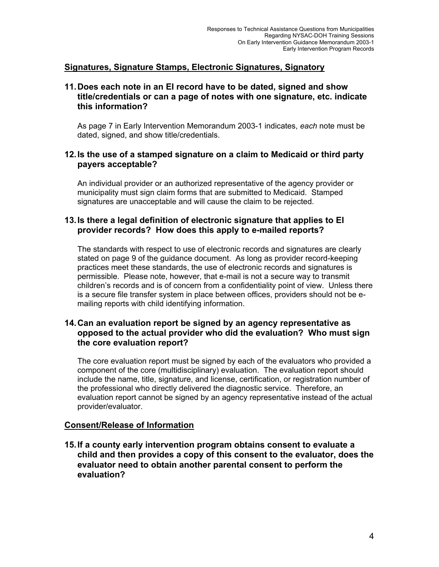# **Signatures, Signature Stamps, Electronic Signatures, Signatory**

#### **11. Does each note in an EI record have to be dated, signed and show title/credentials or can a page of notes with one signature, etc. indicate this information?**

As page 7 in Early Intervention Memorandum 2003-1 indicates, *each* note must be dated, signed, and show title/credentials.

#### **12. Is the use of a stamped signature on a claim to Medicaid or third party payers acceptable?**

An individual provider or an authorized representative of the agency provider or municipality must sign claim forms that are submitted to Medicaid. Stamped signatures are unacceptable and will cause the claim to be rejected.

#### **13. Is there a legal definition of electronic signature that applies to EI provider records? How does this apply to e-mailed reports?**

The standards with respect to use of electronic records and signatures are clearly stated on page 9 of the guidance document. As long as provider record-keeping practices meet these standards, the use of electronic records and signatures is permissible. Please note, however, that e-mail is not a secure way to transmit children's records and is of concern from a confidentiality point of view. Unless there is a secure file transfer system in place between offices, providers should not be emailing reports with child identifying information.

## **14. Can an evaluation report be signed by an agency representative as opposed to the actual provider who did the evaluation? Who must sign the core evaluation report?**

The core evaluation report must be signed by each of the evaluators who provided a component of the core (multidisciplinary) evaluation. The evaluation report should include the name, title, signature, and license, certification, or registration number of the professional who directly delivered the diagnostic service. Therefore, an evaluation report cannot be signed by an agency representative instead of the actual provider/evaluator.

## **Consent/Release of Information**

**15. If a county early intervention program obtains consent to evaluate a child and then provides a copy of this consent to the evaluator, does the evaluator need to obtain another parental consent to perform the evaluation?**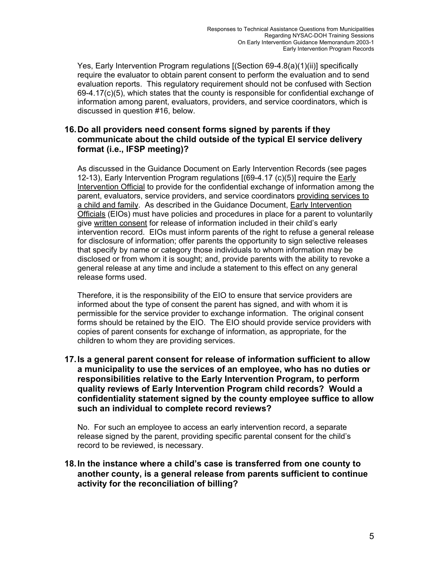Yes, Early Intervention Program regulations [(Section 69-4.8(a)(1)(ii)] specifically require the evaluator to obtain parent consent to perform the evaluation and to send evaluation reports. This regulatory requirement should not be confused with Section 69-4.17(c)(5), which states that the county is responsible for confidential exchange of information among parent, evaluators, providers, and service coordinators, which is discussed in question #16, below.

## **16. Do all providers need consent forms signed by parents if they communicate about the child outside of the typical EI service delivery format (i.e., IFSP meeting)?**

As discussed in the Guidance Document on Early Intervention Records (see pages 12-13), Early Intervention Program regulations [(69-4.17 (c)(5)] require the Early Intervention Official to provide for the confidential exchange of information among the parent, evaluators, service providers, and service coordinators providing services to a child and family. As described in the Guidance Document, Early Intervention Officials (EIOs) must have policies and procedures in place for a parent to voluntarily give written consent for release of information included in their child's early intervention record. EIOs must inform parents of the right to refuse a general release for disclosure of information; offer parents the opportunity to sign selective releases that specify by name or category those individuals to whom information may be disclosed or from whom it is sought; and, provide parents with the ability to revoke a general release at any time and include a statement to this effect on any general release forms used.

Therefore, it is the responsibility of the EIO to ensure that service providers are informed about the type of consent the parent has signed, and with whom it is permissible for the service provider to exchange information. The original consent forms should be retained by the EIO. The EIO should provide service providers with copies of parent consents for exchange of information, as appropriate, for the children to whom they are providing services.

#### **17. Is a general parent consent for release of information sufficient to allow a municipality to use the services of an employee, who has no duties or responsibilities relative to the Early Intervention Program, to perform quality reviews of Early Intervention Program child records? Would a confidentiality statement signed by the county employee suffice to allow such an individual to complete record reviews?**

No. For such an employee to access an early intervention record, a separate release signed by the parent, providing specific parental consent for the child's record to be reviewed, is necessary.

## **18. In the instance where a child's case is transferred from one county to another county, is a general release from parents sufficient to continue activity for the reconciliation of billing?**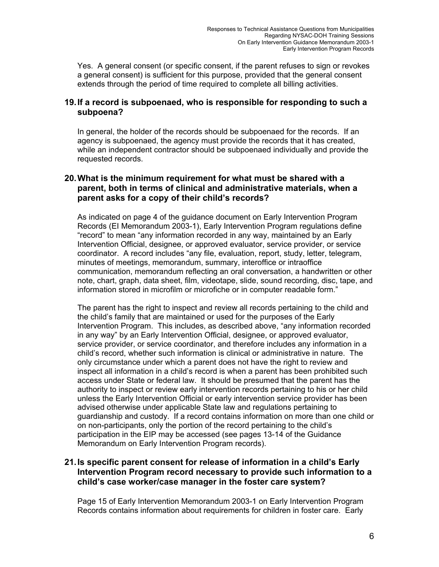Yes. A general consent (or specific consent, if the parent refuses to sign or revokes a general consent) is sufficient for this purpose, provided that the general consent extends through the period of time required to complete all billing activities.

## **19. If a record is subpoenaed, who is responsible for responding to such a subpoena?**

In general, the holder of the records should be subpoenaed for the records. If an agency is subpoenaed, the agency must provide the records that it has created, while an independent contractor should be subpoenaed individually and provide the requested records.

## **20. What is the minimum requirement for what must be shared with a parent, both in terms of clinical and administrative materials, when a parent asks for a copy of their child's records?**

As indicated on page 4 of the guidance document on Early Intervention Program Records (EI Memorandum 2003-1), Early Intervention Program regulations define "record" to mean "any information recorded in any way, maintained by an Early Intervention Official, designee, or approved evaluator, service provider, or service coordinator. A record includes "any file, evaluation, report, study, letter, telegram, minutes of meetings, memorandum, summary, interoffice or intraoffice communication, memorandum reflecting an oral conversation, a handwritten or other note, chart, graph, data sheet, film, videotape, slide, sound recording, disc, tape, and information stored in microfilm or microfiche or in computer readable form."

The parent has the right to inspect and review all records pertaining to the child and the child's family that are maintained or used for the purposes of the Early Intervention Program. This includes, as described above, "any information recorded in any way" by an Early Intervention Official, designee, or approved evaluator, service provider, or service coordinator, and therefore includes any information in a child's record, whether such information is clinical or administrative in nature. The only circumstance under which a parent does not have the right to review and inspect all information in a child's record is when a parent has been prohibited such access under State or federal law. It should be presumed that the parent has the authority to inspect or review early intervention records pertaining to his or her child unless the Early Intervention Official or early intervention service provider has been advised otherwise under applicable State law and regulations pertaining to guardianship and custody. If a record contains information on more than one child or on non-participants, only the portion of the record pertaining to the child's participation in the EIP may be accessed (see pages 13-14 of the Guidance Memorandum on Early Intervention Program records).

## **21. Is specific parent consent for release of information in a child's Early Intervention Program record necessary to provide such information to a child's case worker/case manager in the foster care system?**

Page 15 of Early Intervention Memorandum 2003-1 on Early Intervention Program Records contains information about requirements for children in foster care. Early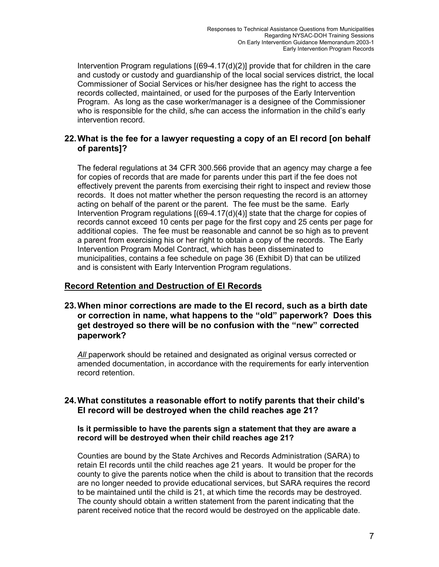Intervention Program regulations [(69-4.17(d)(2)] provide that for children in the care and custody or custody and guardianship of the local social services district, the local Commissioner of Social Services or his/her designee has the right to access the records collected, maintained, or used for the purposes of the Early Intervention Program. As long as the case worker/manager is a designee of the Commissioner who is responsible for the child, s/he can access the information in the child's early intervention record.

#### **22. What is the fee for a lawyer requesting a copy of an EI record [on behalf of parents]?**

The federal regulations at 34 CFR 300.566 provide that an agency may charge a fee for copies of records that are made for parents under this part if the fee does not effectively prevent the parents from exercising their right to inspect and review those records. It does not matter whether the person requesting the record is an attorney acting on behalf of the parent or the parent. The fee must be the same. Early Intervention Program regulations [(69-4.17(d)(4)] state that the charge for copies of records cannot exceed 10 cents per page for the first copy and 25 cents per page for additional copies. The fee must be reasonable and cannot be so high as to prevent a parent from exercising his or her right to obtain a copy of the records. The Early Intervention Program Model Contract, which has been disseminated to municipalities, contains a fee schedule on page 36 (Exhibit D) that can be utilized and is consistent with Early Intervention Program regulations.

## **Record Retention and Destruction of EI Records**

#### **23. When minor corrections are made to the EI record, such as a birth date or correction in name, what happens to the "old" paperwork? Does this get destroyed so there will be no confusion with the "new" corrected paperwork?**

All paperwork should be retained and designated as original versus corrected or amended documentation, in accordance with the requirements for early intervention record retention.

## **24. What constitutes a reasonable effort to notify parents that their child's EI record will be destroyed when the child reaches age 21?**

#### **Is it permissible to have the parents sign a statement that they are aware a record will be destroyed when their child reaches age 21?**

Counties are bound by the State Archives and Records Administration (SARA) to retain EI records until the child reaches age 21 years. It would be proper for the county to give the parents notice when the child is about to transition that the records are no longer needed to provide educational services, but SARA requires the record to be maintained until the child is 21, at which time the records may be destroyed. The county should obtain a written statement from the parent indicating that the parent received notice that the record would be destroyed on the applicable date.